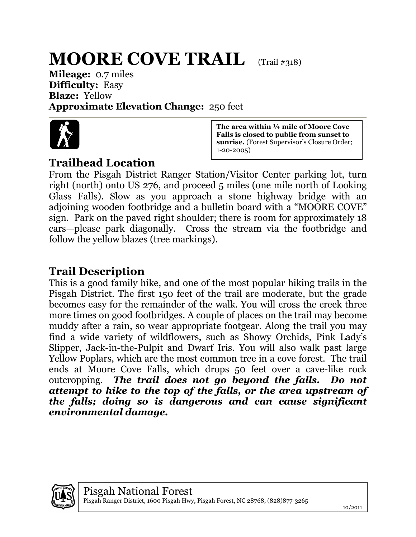## **MOORE COVE TRAIL** (Trail #318)

**Mileage:** 0.7 miles **Difficulty:** Easy **Blaze:** Yellow **Approximate Elevation Change:** 250 feet



## **Trailhead Location**

**The area within ¼ mile of Moore Cove Falls is closed to public from sunset to sunrise.** (Forest Supervisor's Closure Order; 1-20-2005)

From the Pisgah District Ranger Station/Visitor Center parking lot, turn right (north) onto US 276, and proceed 5 miles (one mile north of Looking Glass Falls). Slow as you approach a stone highway bridge with an adjoining wooden footbridge and a bulletin board with a "MOORE COVE" sign. Park on the paved right shoulder; there is room for approximately 18 cars—please park diagonally. Cross the stream via the footbridge and follow the yellow blazes (tree markings).

## **Trail Description**

This is a good family hike, and one of the most popular hiking trails in the Pisgah District. The first 150 feet of the trail are moderate, but the grade becomes easy for the remainder of the walk. You will cross the creek three more times on good footbridges. A couple of places on the trail may become muddy after a rain, so wear appropriate footgear. Along the trail you may find a wide variety of wildflowers, such as Showy Orchids, Pink Lady's Slipper, Jack-in-the-Pulpit and Dwarf Iris. You will also walk past large Yellow Poplars, which are the most common tree in a cove forest. The trail ends at Moore Cove Falls, which drops 50 feet over a cave-like rock outcropping. *The trail does not go beyond the falls. Do not attempt to hike to the top of the falls, or the area upstream of the falls; doing so is dangerous and can cause significant environmental damage.*